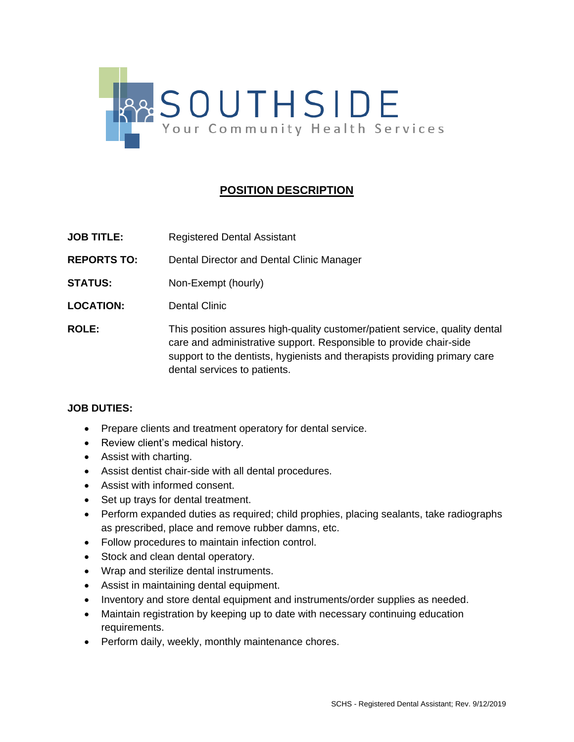

## **POSITION DESCRIPTION**

- **JOB TITLE:** Registered Dental Assistant
- **REPORTS TO:** Dental Director and Dental Clinic Manager
- **STATUS:** Non-Exempt (hourly)
- **LOCATION:** Dental Clinic
- **ROLE:** This position assures high-quality customer/patient service, quality dental care and administrative support. Responsible to provide chair-side support to the dentists, hygienists and therapists providing primary care dental services to patients.

## **JOB DUTIES:**

- Prepare clients and treatment operatory for dental service.
- Review client's medical history.
- Assist with charting.
- Assist dentist chair-side with all dental procedures.
- Assist with informed consent.
- Set up trays for dental treatment.
- Perform expanded duties as required; child prophies, placing sealants, take radiographs as prescribed, place and remove rubber damns, etc.
- Follow procedures to maintain infection control.
- Stock and clean dental operatory.
- Wrap and sterilize dental instruments.
- Assist in maintaining dental equipment.
- Inventory and store dental equipment and instruments/order supplies as needed.
- Maintain registration by keeping up to date with necessary continuing education requirements.
- Perform daily, weekly, monthly maintenance chores.